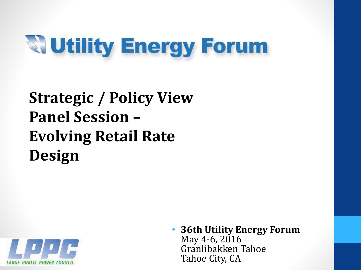# **Weility Energy Forum**

### **Strategic / Policy View Panel Session – Evolving Retail Rate Design**



• **36th Utility Energy Forum** May 4-6, 2016 Granlibakken Tahoe Tahoe City, CA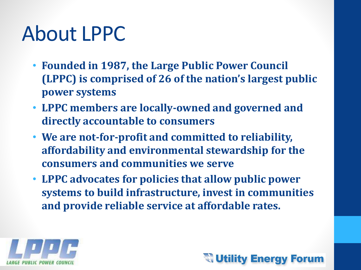## About LPPC

- **Founded in 1987, the Large Public Power Council (LPPC) is comprised of 26 of the nation's largest public power systems**
- **LPPC members are locally-owned and governed and directly accountable to consumers**
- **We are not-for-profit and committed to reliability, affordability and environmental stewardship for the consumers and communities we serve**
- **LPPC advocates for policies that allow public power systems to build infrastructure, invest in communities and provide reliable service at affordable rates.**



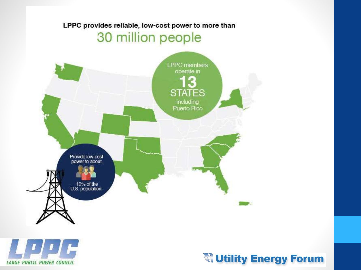#### LPPC provides reliable, low-cost power to more than

### 30 million people





#### **Willity Energy Forum**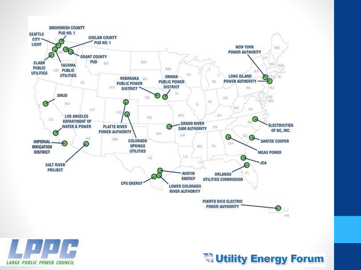



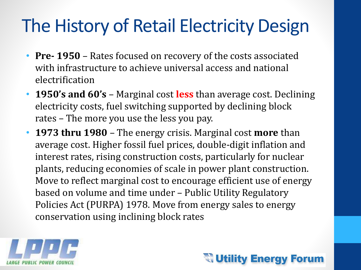### The History of Retail Electricity Design

- **Pre- 1950**  Rates focused on recovery of the costs associated with infrastructure to achieve universal access and national electrification
- **1950's and 60's**  Marginal cost **less** than average cost. Declining electricity costs, fuel switching supported by declining block rates – The more you use the less you pay.
- **1973 thru 1980**  The energy crisis. Marginal cost **more** than average cost. Higher fossil fuel prices, double-digit inflation and interest rates, rising construction costs, particularly for nuclear plants, reducing economies of scale in power plant construction. Move to reflect marginal cost to encourage efficient use of energy based on volume and time under – Public Utility Regulatory Policies Act (PURPA) 1978. Move from energy sales to energy conservation using inclining block rates



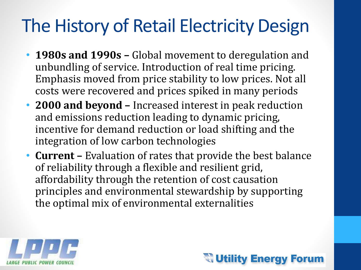### The History of Retail Electricity Design

- **1980s and 1990s –** Global movement to deregulation and unbundling of service. Introduction of real time pricing. Emphasis moved from price stability to low prices. Not all costs were recovered and prices spiked in many periods
- **2000 and beyond –** Increased interest in peak reduction and emissions reduction leading to dynamic pricing, incentive for demand reduction or load shifting and the integration of low carbon technologies
- **Current –** Evaluation of rates that provide the best balance of reliability through a flexible and resilient grid, affordability through the retention of cost causation principles and environmental stewardship by supporting the optimal mix of environmental externalities